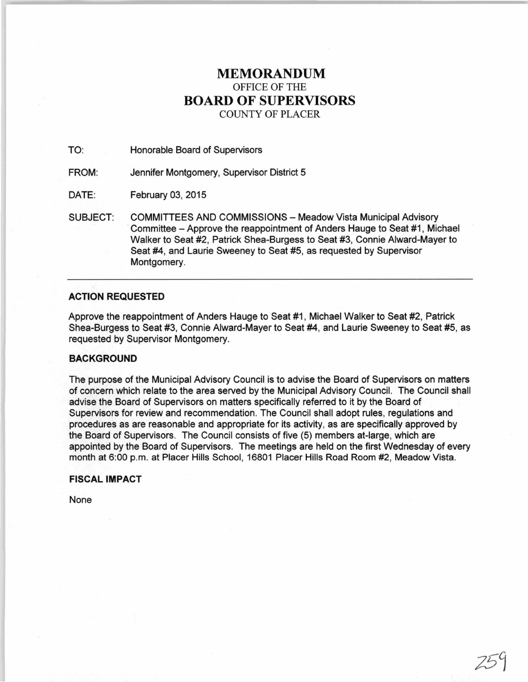# **MEMORANDUM**  OFFICE OF THE **BOARD OF SUPERVISORS**  COUNTY OF PLACER

TO: Honorable Board of Supervisors

FROM: Jennifer Montgomery, Supervisor District 5

DATE: February 03, 2015

SUBJECT: COMMITTEES AND COMMISSIONS- Meadow Vista Municipal Advisory Committee – Approve the reappointment of Anders Hauge to Seat #1, Michael Walker to Seat #2, Patrick Shea-Burgess to Seat #3, Connie Alward-Mayer to Seat #4, and Laurie Sweeney to Seat #5, as requested by Supervisor Montgomery.

# **ACTION REQUESTED**

Approve the reappointment of Anders Hauge to Seat #1, Michael Walker to Seat #2, Patrick Shea-Burgess to Seat #3, Connie Alward-Mayer to Seat #4, and Laurie Sweeney to Seat #5, as requested by Supervisor Montgomery.

# **BACKGROUND**

The purpose of the Municipal Advisory Council is to advise the Board of Supervisors on matters of concern which relate to the area served by the Municipal Advisory Council. The Council shall advise the Board of Supervisors on matters specifically referred to it by the Board of Supervisors for review and recommendation. The Council shall adopt rules, regulations and procedures as are reasonable and appropriate for its activity, as are specifically approved by the Board of Supervisors. The Council consists of five (5) members at-large, which are appointed by the Board of Supervisors. The meetings are held on the first Wednesday of every month at 6:00 p.m. at Placer Hills School, 16801 Placer Hills Road Room #2, Meadow Vista.

# **FISCAL IMPACT**

None